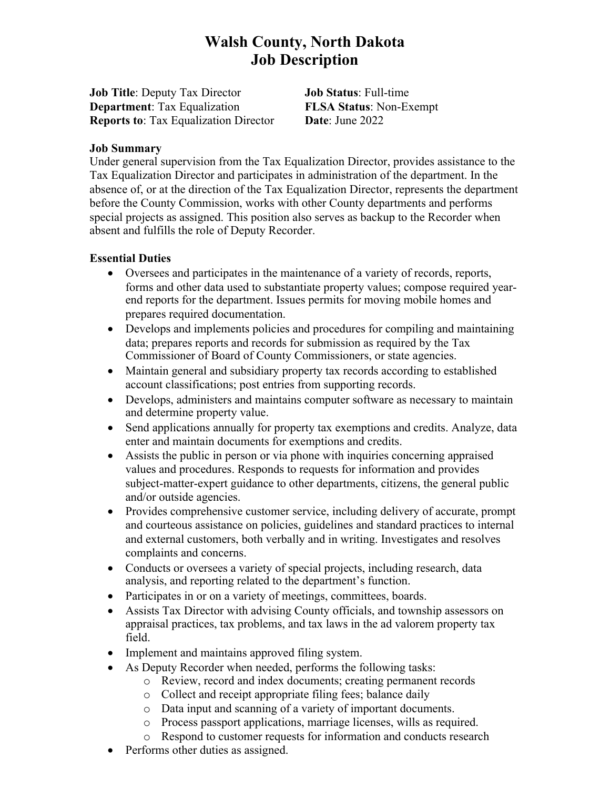# **Walsh County, North Dakota Job Description**

**Job Title**: Deputy Tax Director **Job Status**: Full-time **Department**: Tax Equalization **FLSA Status**: Non-Exempt **Reports to**: Tax Equalization Director **Date**: June 2022

#### **Job Summary**

Under general supervision from the Tax Equalization Director, provides assistance to the Tax Equalization Director and participates in administration of the department. In the absence of, or at the direction of the Tax Equalization Director, represents the department before the County Commission, works with other County departments and performs special projects as assigned. This position also serves as backup to the Recorder when absent and fulfills the role of Deputy Recorder.

#### **Essential Duties**

- Oversees and participates in the maintenance of a variety of records, reports, forms and other data used to substantiate property values; compose required yearend reports for the department. Issues permits for moving mobile homes and prepares required documentation.
- Develops and implements policies and procedures for compiling and maintaining data; prepares reports and records for submission as required by the Tax Commissioner of Board of County Commissioners, or state agencies.
- Maintain general and subsidiary property tax records according to established account classifications; post entries from supporting records.
- Develops, administers and maintains computer software as necessary to maintain and determine property value.
- Send applications annually for property tax exemptions and credits. Analyze, data enter and maintain documents for exemptions and credits.
- Assists the public in person or via phone with inquiries concerning appraised values and procedures. Responds to requests for information and provides subject-matter-expert guidance to other departments, citizens, the general public and/or outside agencies.
- Provides comprehensive customer service, including delivery of accurate, prompt and courteous assistance on policies, guidelines and standard practices to internal and external customers, both verbally and in writing. Investigates and resolves complaints and concerns.
- Conducts or oversees a variety of special projects, including research, data analysis, and reporting related to the department's function.
- Participates in or on a variety of meetings, committees, boards.
- Assists Tax Director with advising County officials, and township assessors on appraisal practices, tax problems, and tax laws in the ad valorem property tax field.
- Implement and maintains approved filing system.
- As Deputy Recorder when needed, performs the following tasks:
	- o Review, record and index documents; creating permanent records
	- o Collect and receipt appropriate filing fees; balance daily
	- o Data input and scanning of a variety of important documents.
	- o Process passport applications, marriage licenses, wills as required.
	- o Respond to customer requests for information and conducts research
- Performs other duties as assigned.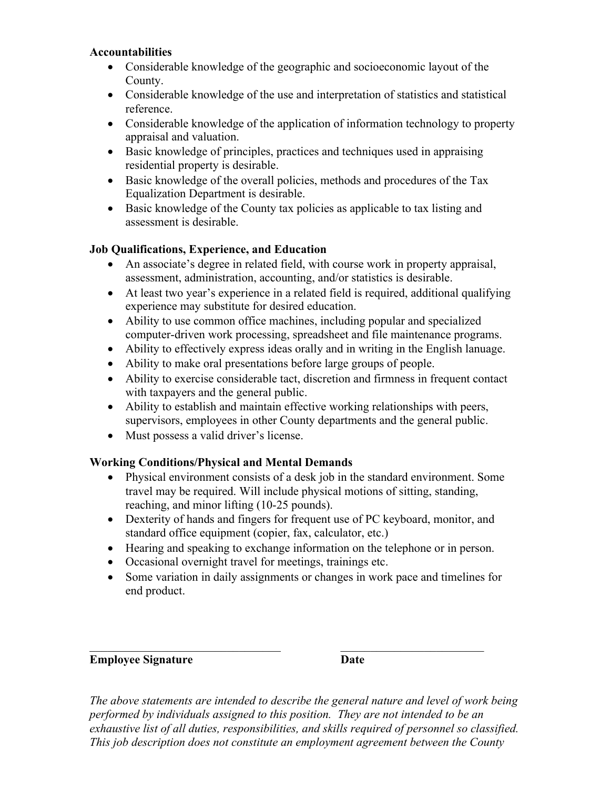#### **Accountabilities**

- Considerable knowledge of the geographic and socioeconomic layout of the County.
- Considerable knowledge of the use and interpretation of statistics and statistical reference.
- Considerable knowledge of the application of information technology to property appraisal and valuation.
- Basic knowledge of principles, practices and techniques used in appraising residential property is desirable.
- Basic knowledge of the overall policies, methods and procedures of the Tax Equalization Department is desirable.
- Basic knowledge of the County tax policies as applicable to tax listing and assessment is desirable.

## **Job Qualifications, Experience, and Education**

- An associate's degree in related field, with course work in property appraisal, assessment, administration, accounting, and/or statistics is desirable.
- At least two year's experience in a related field is required, additional qualifying experience may substitute for desired education.
- Ability to use common office machines, including popular and specialized computer-driven work processing, spreadsheet and file maintenance programs.
- Ability to effectively express ideas orally and in writing in the English lanuage.
- Ability to make oral presentations before large groups of people.
- Ability to exercise considerable tact, discretion and firmness in frequent contact with taxpayers and the general public.
- Ability to establish and maintain effective working relationships with peers, supervisors, employees in other County departments and the general public.
- Must possess a valid driver's license.

# **Working Conditions/Physical and Mental Demands**

- Physical environment consists of a desk job in the standard environment. Some travel may be required. Will include physical motions of sitting, standing, reaching, and minor lifting (10-25 pounds).
- Dexterity of hands and fingers for frequent use of PC keyboard, monitor, and standard office equipment (copier, fax, calculator, etc.)
- Hearing and speaking to exchange information on the telephone or in person.
- Occasional overnight travel for meetings, trainings etc.
- Some variation in daily assignments or changes in work pace and timelines for end product.

### **Employee Signature Date**

*The above statements are intended to describe the general nature and level of work being performed by individuals assigned to this position. They are not intended to be an exhaustive list of all duties, responsibilities, and skills required of personnel so classified. This job description does not constitute an employment agreement between the County*